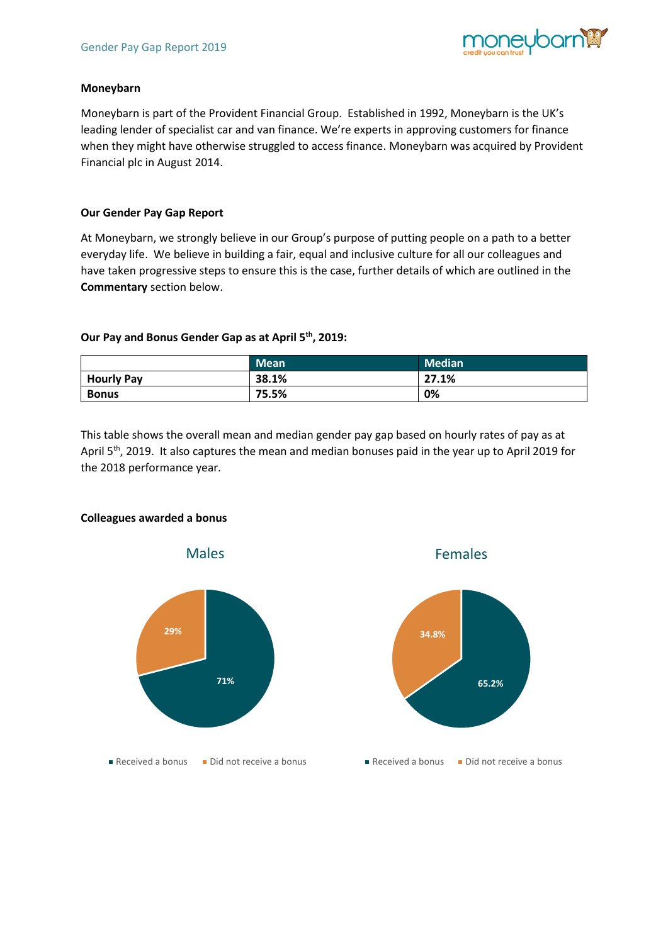

## **Moneybarn**

Moneybarn is part of the Provident Financial Group. Established in 1992, Moneybarn is the UK's leading lender of specialist car and van finance. We're experts in approving customers for finance when they might have otherwise struggled to access finance. Moneybarn was acquired by Provident Financial plc in August 2014.

# **Our Gender Pay Gap Report**

At Moneybarn, we strongly believe in our Group's purpose of putting people on a path to a better everyday life. We believe in building a fair, equal and inclusive culture for all our colleagues and have taken progressive steps to ensure this is the case, further details of which are outlined in the **Commentary** section below.

# **Our Pay and Bonus Gender Gap as at April 5th, 2019:**

|                   | <b>Mean</b> | <b>Median</b> |
|-------------------|-------------|---------------|
| <b>Hourly Pay</b> | 38.1%       | 27.1%         |
| <b>Bonus</b>      | 75.5%       | 0%            |

This table shows the overall mean and median gender pay gap based on hourly rates of pay as at April 5<sup>th</sup>, 2019. It also captures the mean and median bonuses paid in the year up to April 2019 for the 2018 performance year.



## **Colleagues awarded a bonus**



Females

#### Received a bonus  $\blacksquare$  Did not receive a bonus